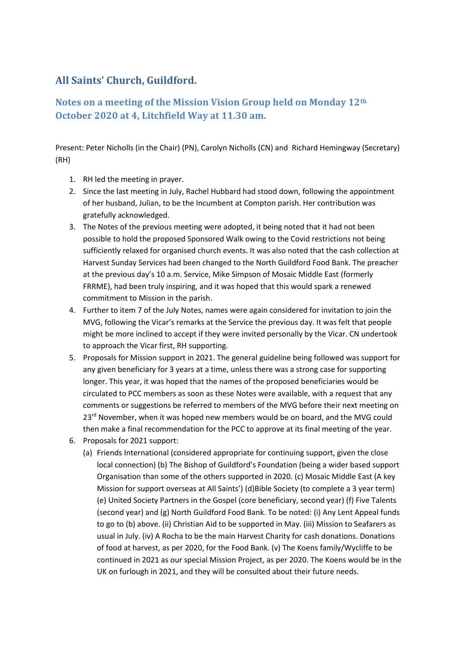## **All Saints' Church, Guildford.**

## **Notes on a meeting of the Mission Vision Group held on Monday 12th October 2020 at 4, Litchfield Way at 11.30 am.**

Present: Peter Nicholls (in the Chair) (PN), Carolyn Nicholls (CN) and Richard Hemingway (Secretary) (RH)

- 1. RH led the meeting in prayer.
- 2. Since the last meeting in July, Rachel Hubbard had stood down, following the appointment of her husband, Julian, to be the Incumbent at Compton parish. Her contribution was gratefully acknowledged.
- 3. The Notes of the previous meeting were adopted, it being noted that it had not been possible to hold the proposed Sponsored Walk owing to the Covid restrictions not being sufficiently relaxed for organised church events. It was also noted that the cash collection at Harvest Sunday Services had been changed to the North Guildford Food Bank. The preacher at the previous day's 10 a.m. Service, Mike Simpson of Mosaic Middle East (formerly FRRME), had been truly inspiring, and it was hoped that this would spark a renewed commitment to Mission in the parish.
- 4. Further to item 7 of the July Notes, names were again considered for invitation to join the MVG, following the Vicar's remarks at the Service the previous day. It was felt that people might be more inclined to accept if they were invited personally by the Vicar. CN undertook to approach the Vicar first, RH supporting.
- 5. Proposals for Mission support in 2021. The general guideline being followed was support for any given beneficiary for 3 years at a time, unless there was a strong case for supporting longer. This year, it was hoped that the names of the proposed beneficiaries would be circulated to PCC members as soon as these Notes were available, with a request that any comments or suggestions be referred to members of the MVG before their next meeting on  $23<sup>rd</sup>$  November, when it was hoped new members would be on board, and the MVG could then make a final recommendation for the PCC to approve at its final meeting of the year.
- 6. Proposals for 2021 support:
	- (a) Friends International (considered appropriate for continuing support, given the close local connection) (b) The Bishop of Guildford's Foundation (being a wider based support Organisation than some of the others supported in 2020. (c) Mosaic Middle East (A key Mission for support overseas at All Saints') (d)Bible Society (to complete a 3 year term) (e) United Society Partners in the Gospel (core beneficiary, second year) (f) Five Talents (second year) and (g) North Guildford Food Bank. To be noted: (i) Any Lent Appeal funds to go to (b) above. (ii) Christian Aid to be supported in May. (iii) Mission to Seafarers as usual in July. (iv) A Rocha to be the main Harvest Charity for cash donations. Donations of food at harvest, as per 2020, for the Food Bank. (v) The Koens family/Wycliffe to be continued in 2021 as our special Mission Project, as per 2020. The Koens would be in the UK on furlough in 2021, and they will be consulted about their future needs.